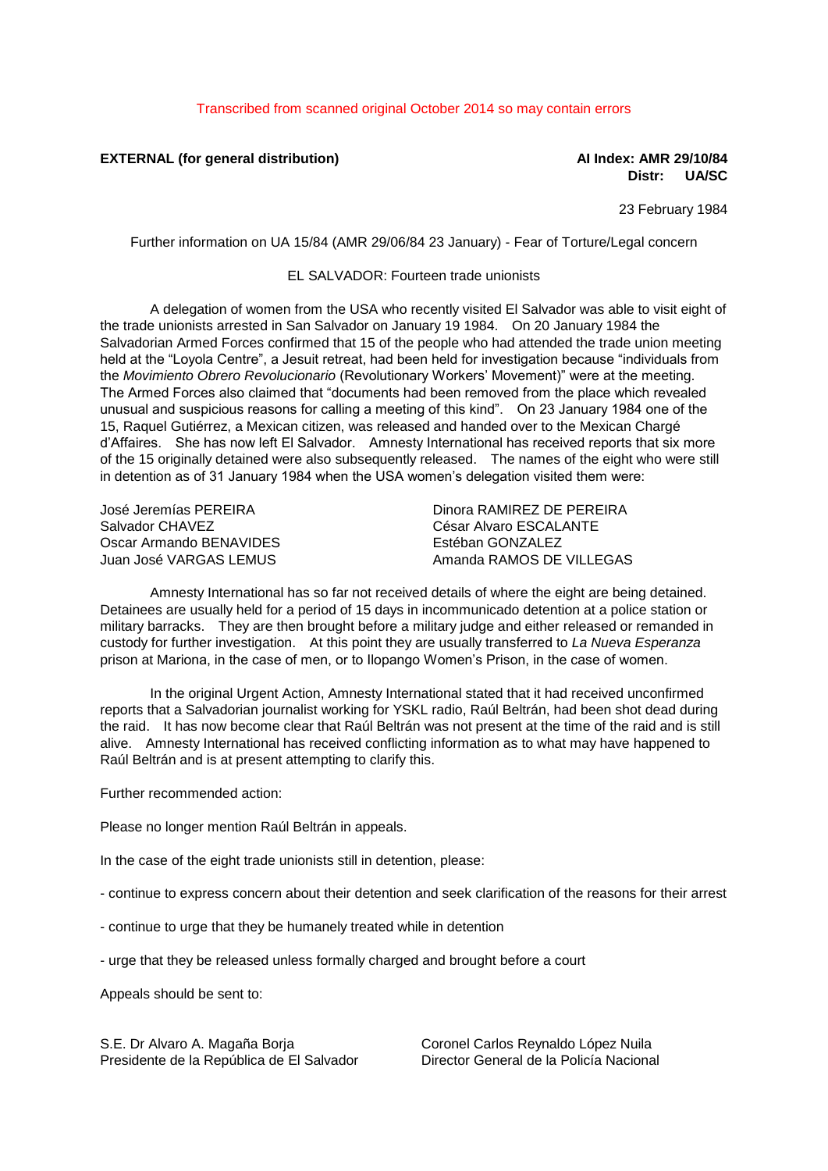**EXTERNAL (for general distribution) AI Index: AMR 29/10/84**

**Distr: UA/SC**

23 February 1984

Further information on UA 15/84 (AMR 29/06/84 23 January) - Fear of Torture/Legal concern

## EL SALVADOR: Fourteen trade unionists

A delegation of women from the USA who recently visited El Salvador was able to visit eight of the trade unionists arrested in San Salvador on January 19 1984. On 20 January 1984 the Salvadorian Armed Forces confirmed that 15 of the people who had attended the trade union meeting held at the "Loyola Centre", a Jesuit retreat, had been held for investigation because "individuals from the *Movimiento Obrero Revolucionario* (Revolutionary Workers' Movement)" were at the meeting. The Armed Forces also claimed that "documents had been removed from the place which revealed unusual and suspicious reasons for calling a meeting of this kind". On 23 January 1984 one of the 15, Raquel Gutiérrez, a Mexican citizen, was released and handed over to the Mexican Chargé d'Affaires. She has now left El Salvador. Amnesty International has received reports that six more of the 15 originally detained were also subsequently released. The names of the eight who were still in detention as of 31 January 1984 when the USA women's delegation visited them were:

José Jeremías PEREIRA Salvador CHAVEZ Oscar Armando BENAVIDES Juan José VARGAS LEMUS

Dinora RAMIREZ DE PEREIRA César Alvaro ESCALANTE Estéban GONZALEZ Amanda RAMOS DE VILLEGAS

Amnesty International has so far not received details of where the eight are being detained. Detainees are usually held for a period of 15 days in incommunicado detention at a police station or military barracks. They are then brought before a military judge and either released or remanded in custody for further investigation. At this point they are usually transferred to *La Nueva Esperanza* prison at Mariona, in the case of men, or to Ilopango Women's Prison, in the case of women.

In the original Urgent Action, Amnesty International stated that it had received unconfirmed reports that a Salvadorian journalist working for YSKL radio, Raúl Beltrán, had been shot dead during the raid. It has now become clear that Raúl Beltrán was not present at the time of the raid and is still alive. Amnesty International has received conflicting information as to what may have happened to Raúl Beltrán and is at present attempting to clarify this.

Further recommended action:

Please no longer mention Raúl Beltrán in appeals.

In the case of the eight trade unionists still in detention, please:

- continue to express concern about their detention and seek clarification of the reasons for their arrest

- continue to urge that they be humanely treated while in detention

- urge that they be released unless formally charged and brought before a court

Appeals should be sent to:

S.E. Dr Alvaro A. Magaña Borja Presidente de la República de El Salvador Coronel Carlos Reynaldo López Nuila Director General de la Policía Nacional